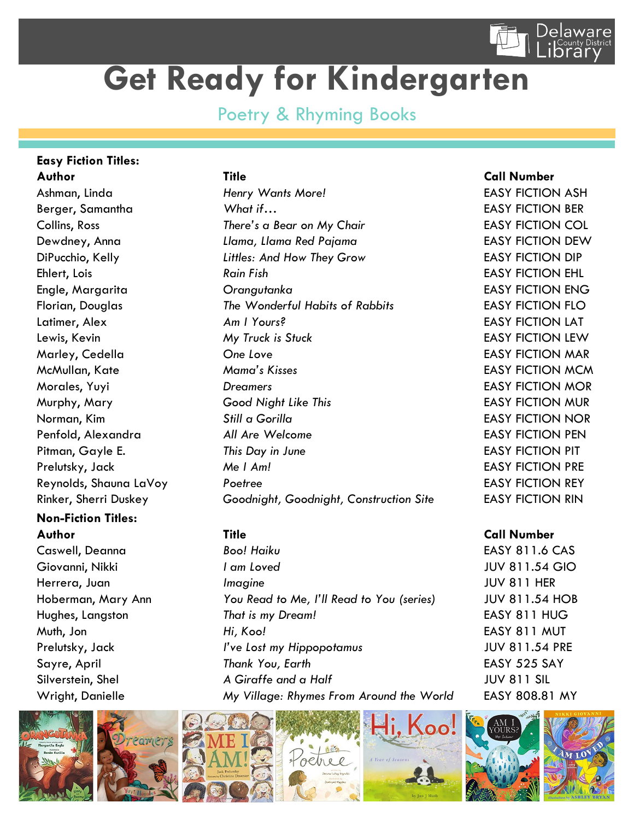

## **Get Ready for Kindergarten**

## Poetry & Rhyming Books

## **Easy Fiction Titles: Author Title Call Number**

Rinker, Sherri Duskey *Goodnight, Goodnight, Construction Site* EASY FICTION RIN

## **Non-Fiction Titles: Author Title Call Number**

Ashman, Linda *Henry Wants More!* EASY FICTION ASH Berger, Samantha *What if…* EASY FICTION BER Collins, Ross *There's a Bear on My Chair* EASY FICTION COL Dewdney, Anna *Llama, Llama Red Pajama* EASY FICTION DEW DiPucchio, Kelly *Littles: And How They Grow* EASY FICTION DIP Ehlert, Lois *Rain Fish* EASY FICTION EHL Engle, Margarita *Orangutanka* EASY FICTION ENG Florian, Douglas *The Wonderful Habits of Rabbits* EASY FICTION FLO Latimer, Alex *Am I Yours?* EASY FICTION LAT Lewis, Kevin *My Truck is Stuck* EASY FICTION LEW Marley, Cedella *One Love* EASY FICTION MAR McMullan, Kate *Mama's Kisses* EASY FICTION MCM Morales, Yuyi *Dreamers* EASY FICTION MOR Murphy, Mary *Good Night Like This* EASY FICTION MUR Norman, Kim *Still a Gorilla* EASY FICTION NOR Penfold, Alexandra *All Are Welcome* EASY FICTION PEN Pitman, Gayle E. *This Day in June* **EASY FICTION PIT** Prelutsky, Jack *Me I Am!* EASY FICTION PRE Reynolds, Shauna LaVoy *Poetree* EASY FICTION REY

Caswell, Deanna *Boo! Haiku* EASY 811.6 CAS Giovanni, Nikki *I am Loved* JUV 811.54 GIO Herrera, Juan *Imagine* JUV 811 HER Hoberman, Mary Ann *You Read to Me, I'll Read to You (series)* JUV 811.54 HOB Hughes, Langston *That is my Dream!* EASY 811 HUG Muth, Jon *Hi, Koo!* EASY 811 MUT Prelutsky, Jack *I've Lost my Hippopotamus* JUV 811.54 PRE Sayre, April *Thank You, Earth* EASY 525 SAY Silverstein, Shel *A Giraffe and a Half* JUV 811 SIL Wright, Danielle *My Village: Rhymes From Around the World* EASY 808.81 MY